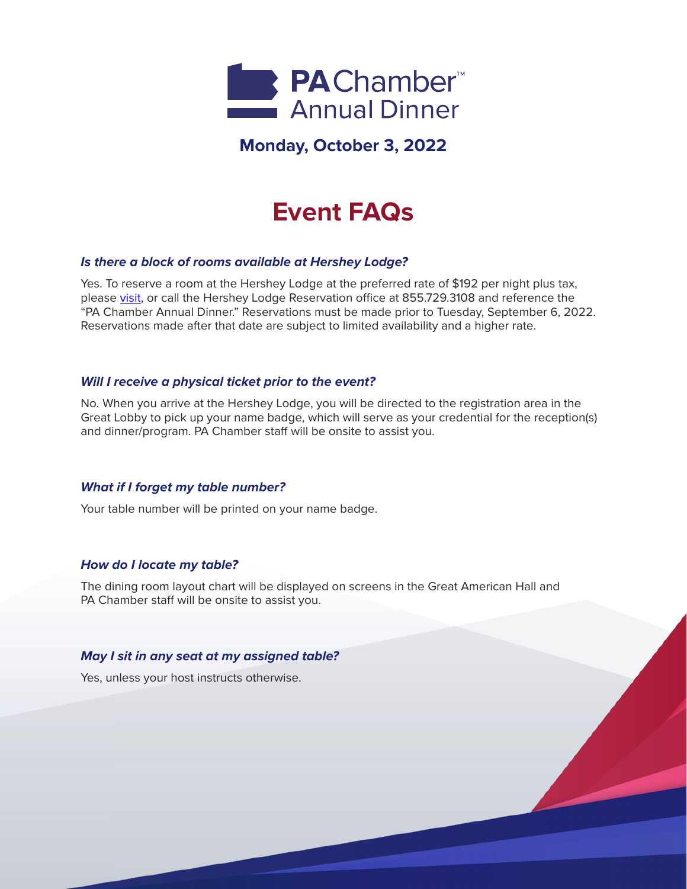

# **Monday, October 3, 2022**

# **Event FAQs**

# **Is there a block of rooms available at Hershey Lodge?**

Yes. To reserve a room at the Hershey Lodge at the preferred rate of \$192 per night plus tax, please [visit,](https://reservations.hersheypa.com/HRSApp/HRSHome?groupCode=PACHAMBERDINNER2022L&venue=hersheyLodge ) or call the Hershey Lodge Reservation office at 855.729.3108 and reference the "PA Chamber Annual Dinner." Reservations must be made prior to Tuesday, September 6, 2022. Reservations made after that date are subject to limited availability and a higher rate.

#### **Will I receive a physical ticket prior to the event?**

No. When you arrive at the Hershey Lodge, you will be directed to the registration area in the Great Lobby to pick up your name badge, which will serve as your credential for the reception(s) and dinner/program. PA Chamber staff will be onsite to assist you.

#### **What if I forget my table number?**

Your table number will be printed on your name badge.

# **How do I locate my table?**

The dining room layout chart will be displayed on screens in the Great American Hall and PA Chamber staff will be onsite to assist you.

# **May I sit in any seat at my assigned table?**

Yes, unless your host instructs otherwise.